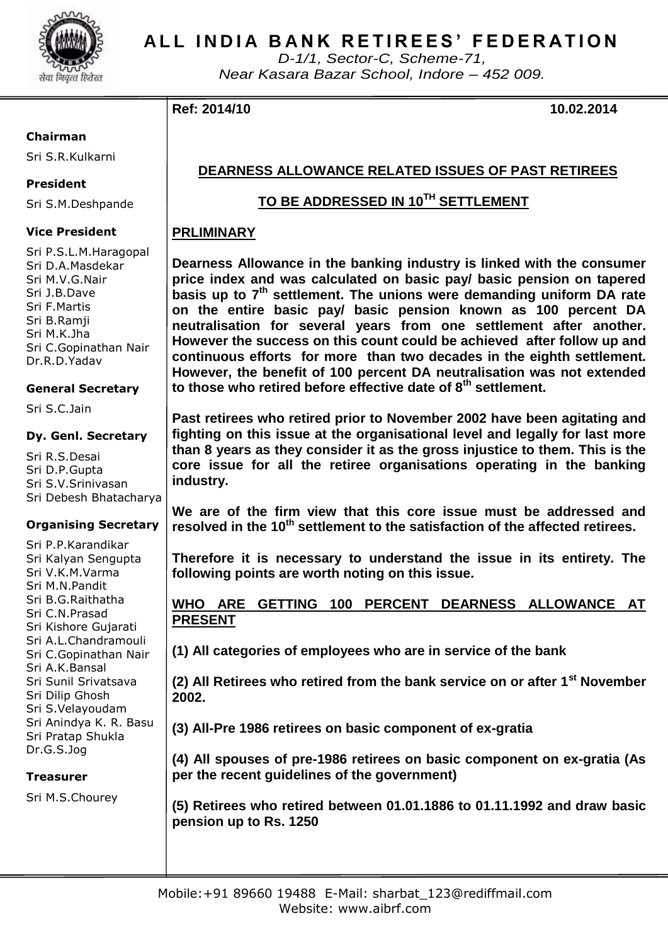

# **A L L I N D I A B A N K R E T I R E E S ' F E D E R A T I O N**

*D-1/1, Sector-C, Scheme-71, Near Kasara Bazar School, Indore – 452 009.*

## **Ref: 2014/10 10.02.2014**

#### **Chairman**

Sri S.R.Kulkarni

## **President**

Sri S.M.Deshpande

## **Vice President**

Sri P.S.L.M.Haragopal Sri D.A.Masdekar Sri M.V.G.Nair Sri J.B.Dave Sri F.Martis Sri B.Ramji Sri M.K.Jha Sri C.Gopinathan Nair Dr.R.D.Yadav

## **General Secretary**

Sri S.C.Jain

### **Dy. Genl. Secretary**

Sri R.S.Desai Sri D.P.Gupta Sri S.V.Srinivasan Sri Debesh Bhatacharya

### **Organising Secretary**

Sri P.P.Karandikar Sri Kalyan Sengupta Sri V.K.M.Varma Sri M.N.Pandit Sri B.G.Raithatha Sri C.N.Prasad Sri Kishore Gujarati Sri A.L.Chandramouli Sri C.Gopinathan Nair Sri A.K.Bansal Sri Sunil Srivatsava Sri Dilip Ghosh Sri S.Velayoudam Sri Anindya K. R. Basu Sri Pratap Shukla Dr.G.S.Jog

**Treasurer**

Sri M.S.Chourey

# **DEARNESS ALLOWANCE RELATED ISSUES OF PAST RETIREES**

## **TO BE ADDRESSED IN 10TH SETTLEMENT**

## **PRLIMINARY**

**Dearness Allowance in the banking industry is linked with the consumer price index and was calculated on basic pay/ basic pension on tapered basis up to 7<sup>th</sup> settlement. The unions were demanding uniform DA rate on the entire basic pay/ basic pension known as 100 percent DA neutralisation for several years from one settlement after another. However the success on this count could be achieved after follow up and continuous efforts for more than two decades in the eighth settlement. However, the benefit of 100 percent DA neutralisation was not extended to those who retired before effective date of 8th settlement.** 

**Past retirees who retired prior to November 2002 have been agitating and fighting on this issue at the organisational level and legally for last more than 8 years as they consider it as the gross injustice to them. This is the core issue for all the retiree organisations operating in the banking industry.**

**We are of the firm view that this core issue must be addressed and resolved in the 10th settlement to the satisfaction of the affected retirees.**

**Therefore it is necessary to understand the issue in its entirety. The following points are worth noting on this issue.**

## **WHO ARE GETTING 100 PERCENT DEARNESS ALLOWANCE AT PRESENT**

**(1) All categories of employees who are in service of the bank**

**(2) All Retirees who retired from the bank service on or after 1st November 2002.**

**(3) All-Pre 1986 retirees on basic component of ex-gratia** 

**(4) All spouses of pre-1986 retirees on basic component on ex-gratia (As per the recent guidelines of the government)** 

**(5) Retirees who retired between 01.01.1886 to 01.11.1992 and draw basic pension up to Rs. 1250**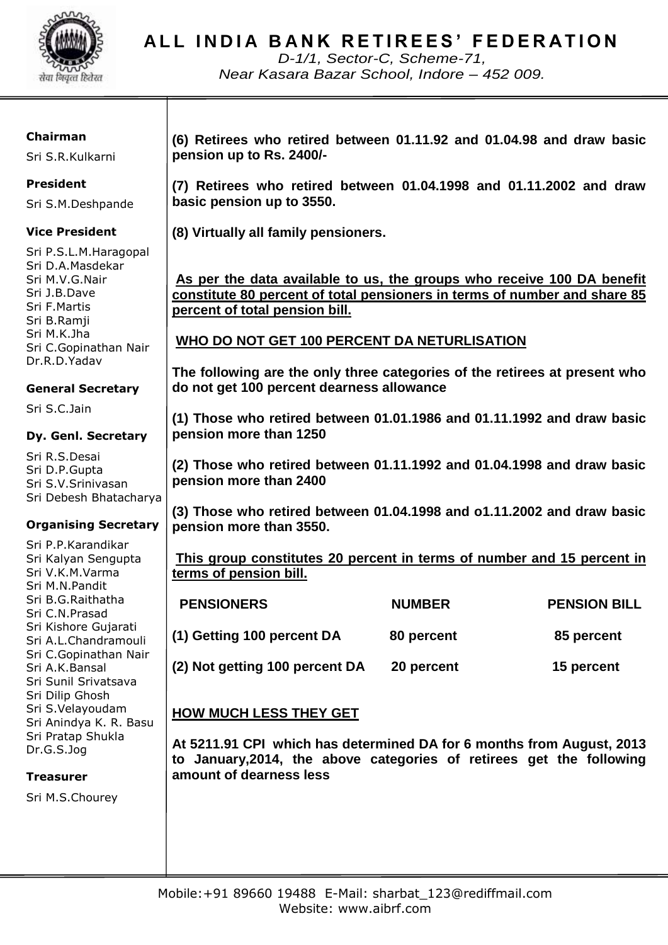

**A L L I N D I A B A N K R E T I R E E S ' F E D E R A T I O N**

*D-1/1, Sector-C, Scheme-71, Near Kasara Bazar School, Indore – 452 009.*

### **Chairman**

Sri S.R.Kulkarni

## **President**

Sri S.M.Deshpande

## **Vice President**

Sri P.S.L.M.Haragopal Sri D.A.Masdekar Sri M.V.G.Nair Sri J.B.Dave Sri F.Martis Sri B.Ramji Sri M.K.Jha Sri C.Gopinathan Nair Dr.R.D.Yadav

## **General Secretary**

Sri S.C.Jain

### **Dy. Genl. Secretary**

Sri R.S.Desai Sri D.P.Gupta Sri S.V.Srinivasan Sri Debesh Bhatacharya

## **Organising Secretary**

Sri P.P.Karandikar Sri Kalyan Sengupta Sri V.K.M.Varma Sri M.N.Pandit Sri B.G.Raithatha Sri C.N.Prasad Sri Kishore Gujarati Sri A.L.Chandramouli Sri C.Gopinathan Nair Sri A.K.Bansal Sri Sunil Srivatsava Sri Dilip Ghosh Sri S.Velayoudam Sri Anindya K. R. Basu Sri Pratap Shukla Dr.G.S.Jog

### **Treasurer**

Sri M.S.Chourey

**(6) Retirees who retired between 01.11.92 and 01.04.98 and draw basic pension up to Rs. 2400/-**

**(7) Retirees who retired between 01.04.1998 and 01.11.2002 and draw basic pension up to 3550.**

**(8) Virtually all family pensioners.**

**As per the data available to us, the groups who receive 100 DA benefit constitute 80 percent of total pensioners in terms of number and share 85 percent of total pension bill.**

## **WHO DO NOT GET 100 PERCENT DA NETURLISATION**

**The following are the only three categories of the retirees at present who do not get 100 percent dearness allowance**

**(1) Those who retired between 01.01.1986 and 01.11.1992 and draw basic pension more than 1250**

**(2) Those who retired between 01.11.1992 and 01.04.1998 and draw basic pension more than 2400**

**(3) Those who retired between 01.04.1998 and o1.11.2002 and draw basic pension more than 3550.**

**This group constitutes 20 percent in terms of number and 15 percent in terms of pension bill.**

| <b>PENSIONERS</b>              | <b>NUMBER</b> | <b>PENSION BILL</b> |
|--------------------------------|---------------|---------------------|
| (1) Getting 100 percent DA     | 80 percent    | 85 percent          |
| (2) Not getting 100 percent DA | 20 percent    | 15 percent          |

## **HOW MUCH LESS THEY GET**

**At 5211.91 CPI which has determined DA for 6 months from August, 2013 to January,2014, the above categories of retirees get the following amount of dearness less**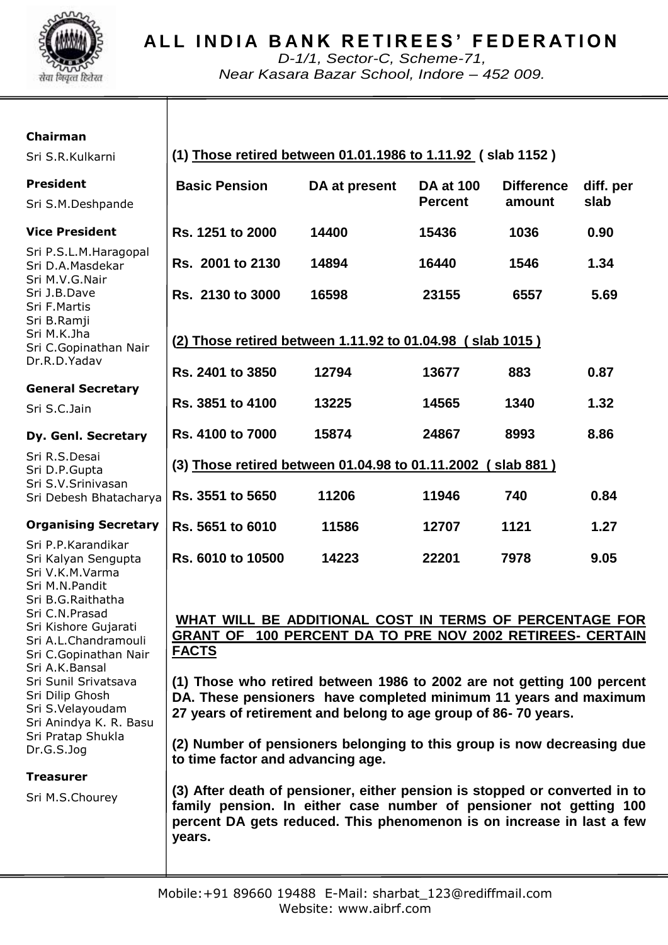

# **A L L I N D I A B A N K R E T I R E E S ' F E D E R A T I O N**

*D-1/1, Sector-C, Scheme-71, Near Kasara Bazar School, Indore – 452 009.*

### **Chairman**

Sri C.N.Prasad Sri Kishore Gujarati Sri A.L.Chandramouli Sri C.Gopinathan Nair

Sri A.K.Bansal Sri Sunil Srivatsava Sri Dilip Ghosh Sri S.Velayoudam Sri Anindya K. R. Basu Sri Pratap Shukla

Dr.G.S.Jog

**Treasurer**

Sri M.S.Chourey

| Sri S.R.Kulkarni                                                                                    | (1) Those retired between 01.01.1986 to 1.11.92 (slab 1152) |               |                                    |                             |                   |  |
|-----------------------------------------------------------------------------------------------------|-------------------------------------------------------------|---------------|------------------------------------|-----------------------------|-------------------|--|
| President<br>Sri S.M.Deshpande                                                                      | <b>Basic Pension</b>                                        | DA at present | <b>DA at 100</b><br><b>Percent</b> | <b>Difference</b><br>amount | diff. per<br>slab |  |
| <b>Vice President</b>                                                                               | Rs. 1251 to 2000                                            | 14400         | 15436                              | 1036                        | 0.90              |  |
| Sri P.S.L.M.Haragopal<br>Sri D.A.Masdekar<br>Sri M.V.G.Nair                                         | Rs. 2001 to 2130                                            | 14894         | 16440                              | 1546                        | 1.34              |  |
| Sri J.B.Dave<br>Sri F.Martis<br>Sri B.Ramji                                                         | Rs. 2130 to 3000                                            | 16598         | 23155                              | 6557                        | 5.69              |  |
| Sri M.K.Jha<br>Sri C.Gopinathan Nair<br>Dr.R.D.Yadav                                                | (2) Those retired between 1.11.92 to 01.04.98 (slab 1015)   |               |                                    |                             |                   |  |
|                                                                                                     | Rs. 2401 to 3850                                            | 12794         | 13677                              | 883                         | 0.87              |  |
| <b>General Secretary</b><br>Sri S.C.Jain                                                            | Rs. 3851 to 4100                                            | 13225         | 14565                              | 1340                        | 1.32              |  |
| Dy. Genl. Secretary                                                                                 | Rs. 4100 to 7000                                            | 15874         | 24867                              | 8993                        | 8.86              |  |
| Sri R.S.Desai<br>Sri D.P.Gupta                                                                      | (3) Those retired between 01.04.98 to 01.11.2002 (slab 881) |               |                                    |                             |                   |  |
| Sri S.V.Srinivasan<br>Sri Debesh Bhatacharya                                                        | Rs. 3551 to 5650                                            | 11206         | 11946                              | 740                         | 0.84              |  |
| <b>Organising Secretary</b>                                                                         | Rs. 5651 to 6010                                            | 11586         | 12707                              | 1121                        | 1.27              |  |
| Sri P.P.Karandikar<br>Sri Kalyan Sengupta<br>Sri V.K.M.Varma<br>Sri M.N.Pandit<br>Sri B.G.Raithatha | Rs. 6010 to 10500                                           | 14223         | 22201                              | 7978                        | 9.05              |  |

## **WHAT WILL BE ADDITIONAL COST IN TERMS OF PERCENTAGE FOR GRANT OF 100 PERCENT DA TO PRE NOV 2002 RETIREES- CERTAIN FACTS**

**(1) Those who retired between 1986 to 2002 are not getting 100 percent DA. These pensioners have completed minimum 11 years and maximum 27 years of retirement and belong to age group of 86- 70 years.**

**(2) Number of pensioners belonging to this group is now decreasing due to time factor and advancing age.**

**(3) After death of pensioner, either pension is stopped or converted in to family pension. In either case number of pensioner not getting 100 percent DA gets reduced. This phenomenon is on increase in last a few years.**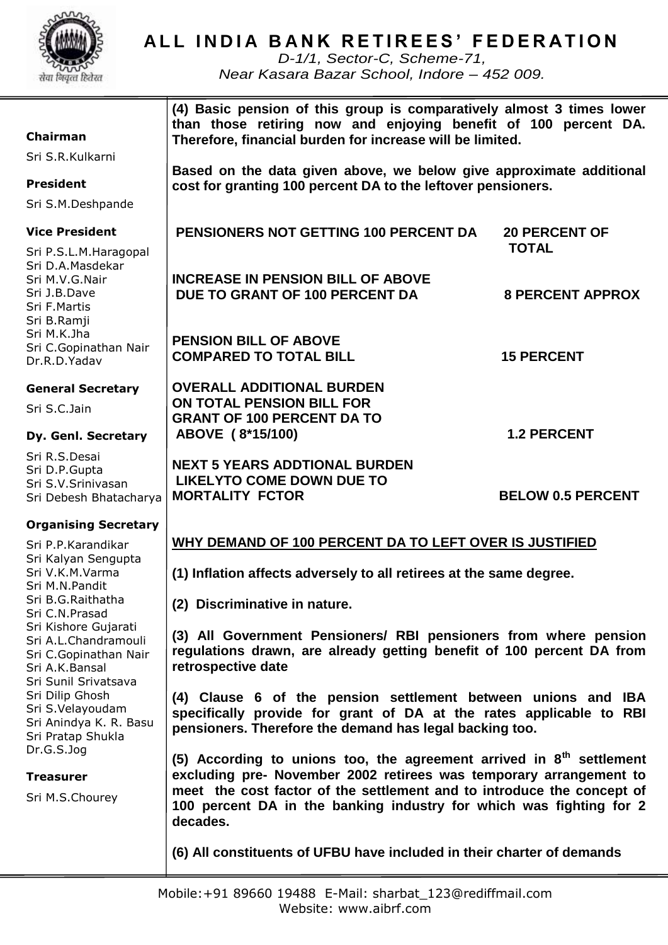

# **ALL INDIA BANK RETIREES' FEDERATION**

*D-1/1, Sector-C, Scheme-71, Near Kasara Bazar School, Indore – 452 009.*

| <b>Chairman</b><br>Sri S.R.Kulkarni                                                                             | (4) Basic pension of this group is comparatively almost 3 times lower<br>than those retiring now and enjoying benefit of 100 percent DA.<br>Therefore, financial burden for increase will be limited.                                                                                                     |                                      |  |
|-----------------------------------------------------------------------------------------------------------------|-----------------------------------------------------------------------------------------------------------------------------------------------------------------------------------------------------------------------------------------------------------------------------------------------------------|--------------------------------------|--|
| <b>President</b>                                                                                                | Based on the data given above, we below give approximate additional<br>cost for granting 100 percent DA to the leftover pensioners.                                                                                                                                                                       |                                      |  |
| Sri S.M.Deshpande                                                                                               |                                                                                                                                                                                                                                                                                                           |                                      |  |
| <b>Vice President</b>                                                                                           | <b>PENSIONERS NOT GETTING 100 PERCENT DA</b>                                                                                                                                                                                                                                                              | <b>20 PERCENT OF</b><br><b>TOTAL</b> |  |
| Sri P.S.L.M.Haragopal<br>Sri D.A.Masdekar<br>Sri M.V.G.Nair<br>Sri J.B.Dave<br>Sri F.Martis<br>Sri B.Ramji      | <b>INCREASE IN PENSION BILL OF ABOVE</b><br>DUE TO GRANT OF 100 PERCENT DA                                                                                                                                                                                                                                | <b>8 PERCENT APPROX</b>              |  |
| Sri M.K.Jha<br>Sri C.Gopinathan Nair<br>Dr.R.D.Yadav                                                            | <b>PENSION BILL OF ABOVE</b><br><b>COMPARED TO TOTAL BILL</b>                                                                                                                                                                                                                                             | <b>15 PERCENT</b>                    |  |
| <b>General Secretary</b><br>Sri S.C.Jain                                                                        | <b>OVERALL ADDITIONAL BURDEN</b><br>ON TOTAL PENSION BILL FOR<br><b>GRANT OF 100 PERCENT DA TO</b>                                                                                                                                                                                                        |                                      |  |
| Dy. Genl. Secretary                                                                                             | ABOVE (8*15/100)                                                                                                                                                                                                                                                                                          | <b>1.2 PERCENT</b>                   |  |
| Sri R.S.Desai<br>Sri D.P.Gupta<br>Sri S.V.Srinivasan<br>Sri Debesh Bhatacharya                                  | <b>NEXT 5 YEARS ADDTIONAL BURDEN</b><br><b>LIKELYTO COME DOWN DUE TO</b><br><b>MORTALITY FCTOR</b>                                                                                                                                                                                                        | <b>BELOW 0.5 PERCENT</b>             |  |
| <b>Organising Secretary</b>                                                                                     |                                                                                                                                                                                                                                                                                                           |                                      |  |
| Sri P.P.Karandikar                                                                                              | WHY DEMAND OF 100 PERCENT DA TO LEFT OVER IS JUSTIFIED                                                                                                                                                                                                                                                    |                                      |  |
| Sri Kalyan Sengupta<br>Sri V.K.M.Varma<br>Sri M.N.Pandit                                                        | (1) Inflation affects adversely to all retirees at the same degree.<br>(2) Discriminative in nature.                                                                                                                                                                                                      |                                      |  |
| Sri B.G.Raithatha<br>Sri C.N.Prasad                                                                             |                                                                                                                                                                                                                                                                                                           |                                      |  |
| Sri Kishore Gujarati<br>Sri A.L.Chandramouli<br>Sri C.Gopinathan Nair<br>Sri A.K.Bansal<br>Sri Sunil Srivatsava | (3) All Government Pensioners/ RBI pensioners from where pension<br>regulations drawn, are already getting benefit of 100 percent DA from<br>retrospective date                                                                                                                                           |                                      |  |
| Sri Dilip Ghosh<br>Sri S.Velayoudam<br>Sri Anindya K. R. Basu<br>Sri Pratap Shukla                              | (4) Clause 6 of the pension settlement between unions and IBA<br>specifically provide for grant of DA at the rates applicable to RBI<br>pensioners. Therefore the demand has legal backing too.                                                                                                           |                                      |  |
| Dr.G.S.Jog<br><b>Treasurer</b><br>Sri M.S.Chourey                                                               | (5) According to unions too, the agreement arrived in $8th$ settlement<br>excluding pre- November 2002 retirees was temporary arrangement to<br>meet the cost factor of the settlement and to introduce the concept of<br>100 percent DA in the banking industry for which was fighting for 2<br>decades. |                                      |  |
|                                                                                                                 | (6) All constituents of UFBU have included in their charter of demands                                                                                                                                                                                                                                    |                                      |  |